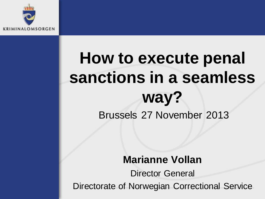

## **How to execute penal sanctions in a seamless way?** Brussels 27 November 2013

#### **Marianne Vollan**

Director General Directorate of Norwegian Correctional Service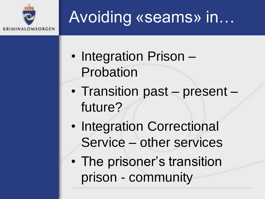

## Avoiding «seams» in…

- Integration Prison Probation
- Transition past present future?
- Integration Correctional Service – other services
- The prisoner's transition prison - community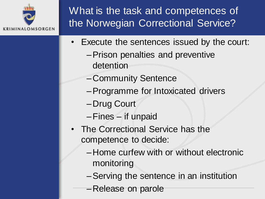

What is the task and competences of the Norwegian Correctional Service?

- Execute the sentences issued by the court:
	- –Prison penalties and preventive detention
	- –Community Sentence
	- –Programme for Intoxicated drivers
	- –Drug Court
	- –Fines if unpaid
- The Correctional Service has the competence to decide:
	- –Home curfew with or without electronic monitoring
	- –Serving the sentence in an institution
	- –Release on parole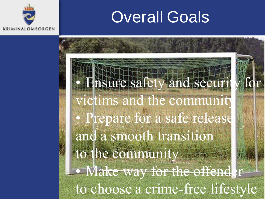## Overall Goals



to choose a crime-free lifestyle Ensure safety and securit victims and the community • Prepare for a safe release and a smooth transition to the community • Make way for the offend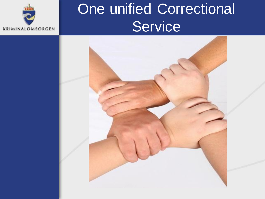

## One unified Correctional **Service**

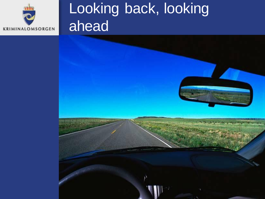

## Looking back, looking ahead

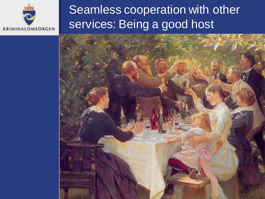

#### Seamless cooperation with other services: Being a good host

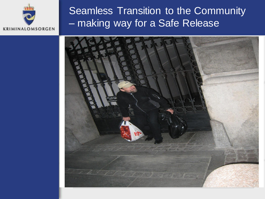

#### Seamless Transition to the Community – making way for a Safe Release

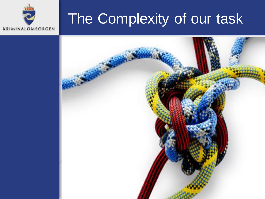## The Complexity of our task



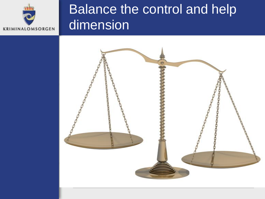

### Balance the control and help dimension

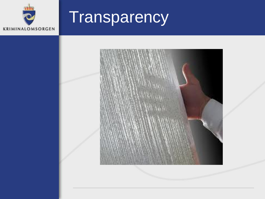

# **Transparency**